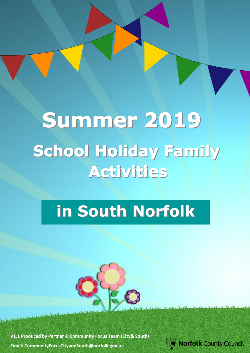# Summer 2019 **School Holiday Family** Activities

## **in South Norfolk**



**V1.1 Produced by Partner & Community Focus Team (City& South) Email: [CommunityFocusCityandSouth@norfolk.gov.uk](mailto:CommunityFocusCityandSouth@norfolk.gov.uk)**

[Type here]

**Norfolk County Council**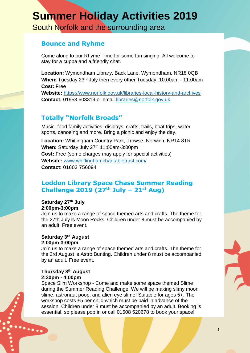## **Summer Holiday Activities 2019**

South Norfolk and the surrounding area

## **Bounce and Ryhme**

Come along to our Rhyme Time for some fun singing. All welcome to stay for a cuppa and a friendly chat.

**Location:** Wymondham Library, Back Lane, Wymondham, NR18 0QB **When:** Tuesday 23rd July then every other Tuesday, 10:00am - 11:00am **Cost:** Free

**Website:** <https://www.norfolk.gov.uk/libraries-local-history-and-archives> **Contact:** 01953 603319 or email [libraries@norfolk.gov.uk](mailto:libraries@norfolk.gov.uk)

## **Totally "Norfolk Broads"**

Music, food family activities, displays, crafts, trails, boat trips, water sports, canoeing and more. Bring a picnic and enjoy the day.

**Location:** Whitlingham Country Park, Trowse, Norwich, NR14 8TR **When:** Saturday July 27<sup>th</sup> 11:00am-3:00pm **Cost:** Free (some charges may apply for special activities) **Website:** [www.whitlinghamcharitabletrust.com/](http://www.whitlinghamcharitabletrust.com/) **Contact:** 01603 756094

## **Loddon Library Space Chase Summer Reading Challenge 2019 (27th July – 21st Aug)**

**Saturday 27th July 2:00pm-3:00pm**

Join us to make a range of space themed arts and crafts. The theme for the 27th July is Moon Rocks. Children under 8 must be accompanied by an adult. Free event.

#### **Saturday 3rd August 2:00pm-3:00pm**

Join us to make a range of space themed arts and crafts. The theme for the 3rd August is Astro Bunting. Children under 8 must be accompanied by an adult. Free event.

#### **Thursday 8th August 2:30pm - 4:00pm**

 $\dddotsc$ 

Space Slim Workshop - Come and make some space themed Slime during the Summer Reading Challenge! We will be making slimy moon slime, astronaut poop, and alien eye slime! Suitable for ages 5+. The workshop costs £5 per child which must be paid in advance of the session. Children under 8 must be accompanied by an adult. Booking is essential, so please pop in or call 01508 520678 to book your space!

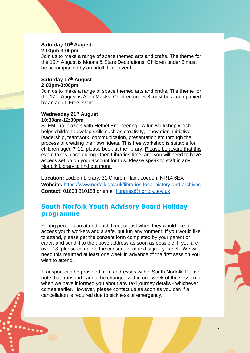#### **Saturday 10th August 2:00pm-3:00pm**

Join us to make a range of space themed arts and crafts. The theme for the 10th August is Moons & Stars Decorations. Children under 8 must be accompanied by an adult. Free event.

#### **Saturday 17th August 2:00pm-3:00pm**

Join us to make a range of space themed arts and crafts. The theme for the 17th August is Alien Masks. Children under 8 must be accompanied by an adult. Free event.

#### **Wednesday 21st August 10:30am-12:00pm**

 $\ddotsc$ 

STEM Trailblazers with Hethel Engineering - A fun workshop which helps children develop skills such as creativity, innovation, initiative, leadership, teamwork, communication, presentation etc through the process of creating their own ideas. This free workshop is suitable for children aged 7-11, please book at the library. Please be aware that this event takes place during Open Libraries time, and you will need to have access set up on your account for this. Please speak to staff in any Norfolk Library to find out more!

**Location:** Loddon Library, 31 Church Plain, Loddon, NR14 6EX **Website:** <https://www.norfolk.gov.uk/libraries-local-history-and-archives> **Contact:** 01603 810188 or email [libraries@norfolk.gov.uk](mailto:libraries@norfolk.gov.uk)

## **South Norfolk Youth Advisory Board Holiday programme**

Young people can attend each time, or just when they would like to access youth workers and a safe, but fun environment. If you would like to attend, please get the consent form completed by your parent or carer, and send it to the above address as soon as possible. If you are over 18, please complete the consent form and sign it yourself. We will need this returned at least one week in advance of the first session you wish to attend.

Transport can be provided from addresses within South Norfolk. Please note that transport cannot be changed within one week of the session or when we have informed you about any taxi journey details - whichever comes earlier. However, please contact us as soon as you can if a cancellation is required due to sickness or emergency.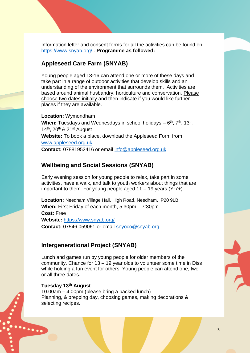Information letter and consent forms for all the activities can be found on <https://www.snyab.org/> . **Programme as followed:** 

## **Appleseed Care Farm (SNYAB)**

Young people aged 13-16 can attend one or more of these days and take part in a range of outdoor activities that develop skills and an understanding of the environment that surrounds them. Activities are based around animal husbandry, horticulture and conservation. Please choose two dates initially and then indicate if you would like further places if they are available.

**Location:** Wymondham When: Tuesdays and Wednesdays in school holidays – 6<sup>th</sup>, 7<sup>th</sup>, 13<sup>th</sup>,  $14<sup>th</sup>$ , 20<sup>th</sup> & 21<sup>st</sup> August **Website:** To book a place, download the Appleseed Form from [www.appleseed.org.uk](http://www.appleseed.org.uk/) **Contact:** 07881952416 or email [info@appleseed.org.uk](mailto:info@appleseed.org.uk)

## **Wellbeing and Social Sessions (SNYAB)**

Early evening session for young people to relax, take part in some activities, have a walk, and talk to youth workers about things that are important to them. For young people aged 11 – 19 years (Yr7+).

**Location:** Needham Village Hall, High Road, Needham, IP20 9LB **When:** First Friday of each month, 5:30pm – 7:30pm **Cost:** Free **Website:** <https://www.snyab.org/> **Contact:** 07546 059061 or email [snyoco@snyab.org](mailto:snyoco@snyab.org)

#### **Intergenerational Project (SNYAB)**

Lunch and games run by young people for older members of the community. Chance for 13 – 19 year olds to volunteer some time in Diss while holding a fun event for others. Young people can attend one, two or all three dates.

#### **Tuesday 13th August**

 $\cdots$ 

10.00am – 4.00pm (please bring a packed lunch) Planning, & prepping day, choosing games, making decorations & selecting recipes.

3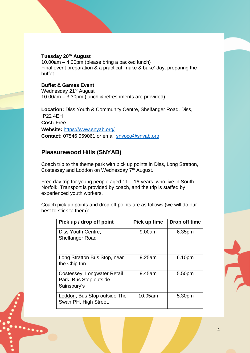#### **Tuesday 20th August**

10.00am – 4.00pm (please bring a packed lunch) Final event preparation & a practical 'make & bake' day, preparing the buffet

#### **Buffet & Games Event**

 $\ddotsc$ 

Wednesday 21<sup>st</sup> August 10.00am – 3.30pm (lunch & refreshments are provided)

**Location:** Diss Youth & Community Centre, Shelfanger Road, Diss, IP22 4EH **Cost:** Free **Website:** <https://www.snyab.org/> **Contact:** 07546 059061 or email [snyoco@snyab.org](mailto:snyoco@snyab.org)

## **Pleasurewood Hills (SNYAB)**

Coach trip to the theme park with pick up points in Diss, Long Stratton, Costessey and Loddon on Wednesday 7<sup>th</sup> August.

Free day trip for young people aged 11 – 16 years, who live in South Norfolk. Transport is provided by coach, and the trip is staffed by experienced youth workers.

Coach pick up points and drop off points are as follows (we will do our best to stick to them):

| Pick up / drop off point                                             | Pick up time | Drop off time |
|----------------------------------------------------------------------|--------------|---------------|
| Diss Youth Centre,<br><b>Shelfanger Road</b>                         | 9.00am       | 6.35pm        |
| Long Stratton Bus Stop, near<br>the Chip Inn                         | 9.25am       | 6.10pm        |
| Costessey, Longwater Retail<br>Park, Bus Stop outside<br>Sainsbury's | 9.45am       | 5.50pm        |
| Loddon, Bus Stop outside The<br>Swan PH, High Street.                | 10.05am      | 5.30pm        |

 $\frac{1}{\Delta}$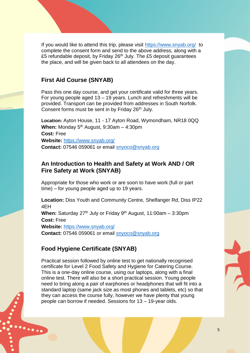If you would like to attend this trip, please visit<https://www.snyab.org/>to complete the consent form and send to the above address, along with a £5 refundable deposit, by Friday 26<sup>th</sup> July. The £5 deposit guarantees the place, and will be given back to all attendees on the day.

## **First Aid Course (SNYAB)**

Pass this one day course, and get your certificate valid for three years. For young people aged 13 – 19 years. Lunch and refreshments will be provided. Transport can be provided from addresses in South Norfolk. Consent forms must be sent in by Friday 26<sup>th</sup> July.

**Location:** Ayton House, 11 - 17 Ayton Road, Wymondham, NR18 0QQ **When:** Monday 5th August, 9:30am – 4:30pm **Cost:** Free **Website:** <https://www.snyab.org/> **Contact:** 07546 059061 or email [snyoco@snyab.org](mailto:snyoco@snyab.org)

### **An Introduction to Health and Safety at Work AND / OR Fire Safety at Work (SNYAB)**

Appropriate for those who work or are soon to have work (full or part time) – for young people aged up to 19 years.

**Location:** Diss Youth and Community Centre, Shelfanger Rd, Diss IP22 4EH When: Saturday 27<sup>th</sup> July or Friday 9<sup>th</sup> August, 11:00am - 3:30pm **Cost:** Free **Website:** <https://www.snyab.org/> **Contact:** 07546 059061 or email [snyoco@snyab.org](mailto:snyoco@snyab.org)

## **Food Hygiene Certificate (SNYAB)**

 $\cdots$ 

Practical session followed by online test to get nationally recognised certificate for Level 2 Food Safety and Hygiene for Catering Course. This is a one-day online course, using our laptops, along with a final online test. There will also be a short practical session. Young people need to bring along a pair of earphones or headphones that will fit into a standard laptop (same jack size as most phones and tablets, etc) so that they can access the course fully, however we have plenty that young people can borrow if needed. Sessions for 13 – 19-year olds.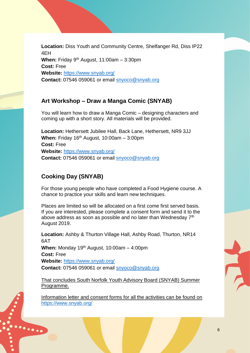**Location:** Diss Youth and Community Centre, Shelfanger Rd, Diss IP22 4EH **When:** Friday 9th August, 11:00am – 3:30pm **Cost:** Free **Website:** <https://www.snyab.org/> **Contact:** 07546 059061 or email [snyoco@snyab.org](mailto:snyoco@snyab.org)

## **Art Workshop – Draw a Manga Comic (SNYAB)**

You will learn how to draw a Manga Comic – designing characters and coming up with a short story. All materials will be provided.

**Location:** Hethersett Jubilee Hall, Back Lane, Hethersett, NR9 3JJ **When:** Friday 16th August, 10:00am – 3:00pm **Cost:** Free **Website:** <https://www.snyab.org/> **Contact:** 07546 059061 or email [snyoco@snyab.org](mailto:snyoco@snyab.org)

## **Cooking Day (SNYAB)**

 $\ddotsc$ 

For those young people who have completed a Food Hygiene course. A chance to practice your skills and learn new techniques.

Places are limited so will be allocated on a first come first served basis. If you are interested, please complete a consent form and send it to the above address as soon as possible and no later than Wednesday 7<sup>th</sup> August 2019.

**Location:** Ashby & Thurton Village Hall, Ashby Road, Thurton, NR14 6AT **When:** Monday 19th August, 10:00am – 4:00pm **Cost:** Free **Website:** <https://www.snyab.org/> **Contact:** 07546 059061 or email [snyoco@snyab.org](mailto:snyoco@snyab.org)

That concludes South Norfolk Youth Advisory Board (SNYAB) Summer Programme.

Information letter and consent forms for all the activities can be found on <https://www.snyab.org/>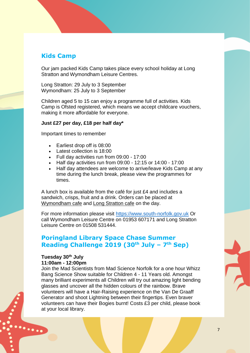## **Kids Camp**

Our jam packed Kids Camp takes place every school holiday at Long Stratton and Wymondham Leisure Centres.

Long Stratton: 29 July to 3 September Wymondham: 25 July to 3 September

Children aged 5 to 15 can enjoy a programme full of activities. Kids Camp is Ofsted registered, which means we accept childcare vouchers, making it more affordable for everyone.

#### **Just £27 per day, £18 per half day\***

Important times to remember

- Earliest drop off is 08:00
- Latest collection is 18:00
- Full day activities run from 09:00 17:00
- Half day activities run from 09:00 12:15 or 14:00 17:00
- Half day attendees are welcome to arrive/leave Kids Camp at any time during the lunch break, please view the programmes for times.

A lunch box is available from the café for just £4 and includes a sandwich, crisps, fruit and a drink. Orders can be placed at [Wymondham](https://www.south-norfolk.gov.uk/visitors/leisure-centres/wymondham-leisure-centre/wymondham-leisure-centre-cafe) cafe and [Long Stratton cafe](https://www.south-norfolk.gov.uk/visitors/leisure-centres/long-stratton-leisure-centre/long-stratton-leisure-centre-cafe) on the day.

For more information please visit [https://www.south-norfolk.gov.uk](https://www.south-norfolk.gov.uk/) Or call Wymondham Leisure Centre on 01953 607171 and Long Stratton Leisure Centre on 01508 531444.

## **Poringland Library Space Chase Summer Reading Challenge 2019 (30th July – 7 th Sep)**

## **Tuesday 30th July**

 $\dddotsc$ 

#### **11:00am - 12:00pm**

Join the Mad Scientists from Mad Science Norfolk for a one hour Whizz Bang Science Show suitable for Children 4 - 11 Years old. Amongst many brilliant experiments all Children will try out amazing light bending glasses and uncover all the hidden colours of the rainbow. Brave volunteers will have a Hair-Raising experience on the Van De Graaff Generator and shoot Lightning between their fingertips. Even braver volunteers can have their Bogies burnt! Costs £3 per child, please book at your local library.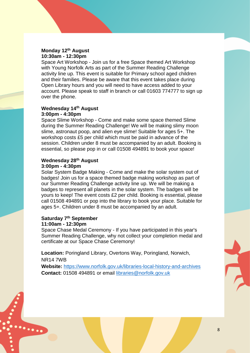#### **Monday 12th August 10:30am - 12:30pm**

Space Art Workshop - Join us for a free Space themed Art Workshop with Young Norfolk Arts as part of the Summer Reading Challenge activity line up. This event is suitable for Primary school aged children and their families. Please be aware that this event takes place during Open Library hours and you will need to have access added to your account. Please speak to staff in branch or call 01603 774777 to sign up over the phone.

#### **Wednesday 14th August 3:00pm - 4:30pm**

Space Slime Workshop - Come and make some space themed Slime during the Summer Reading Challenge! We will be making slimy moon slime, astronaut poop, and alien eye slime! Suitable for ages 5+. The workshop costs £5 per child which must be paid in advance of the session. Children under 8 must be accompanied by an adult. Booking is essential, so please pop in or call 01508 494891 to book your space!

#### **Wednesday 28th August 3:00pm - 4:30pm**

Solar System Badge Making - Come and make the solar system out of badges! Join us for a space themed badge making workshop as part of our Summer Reading Challenge activity line up. We will be making a badges to represent all planets in the solar system. The badges will be yours to keep! The event costs £2 per child. Booking is essential, please call 01508 494891 or pop into the library to book your place. Suitable for ages 5+. Children under 8 must be accompanied by an adult.

#### **Saturday 7th September 11:00am - 12:30pm**

 $\dddotsc$ 

Space Chase Medal Ceremony - If you have participated in this year's Summer Reading Challenge, why not collect your completion medal and certificate at our Space Chase Ceremony!

**Location:** Poringland Library, Overtons Way, Poringland, Norwich, NR14 7WB

**Website:** <https://www.norfolk.gov.uk/libraries-local-history-and-archives> **Contact:** 01508 494891 or email [libraries@norfolk.gov.uk](mailto:libraries@norfolk.gov.uk)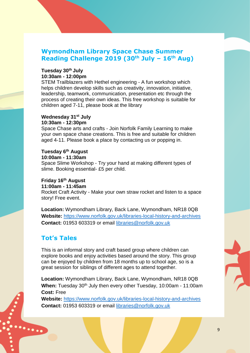## **Wymondham Library Space Chase Summer Reading Challenge 2019 (30th July – 16th Aug)**

#### **Tuesday 30th July 10:30am - 12:00pm**

STEM Trailblazers with Hethel engineering - A fun workshop which helps children develop skills such as creativity, innovation, initiative, leadership, teamwork, communication, presentation etc through the process of creating their own ideas. This free workshop is suitable for children aged 7-11, please book at the library

#### **Wednesday 31st July 10:30am - 12:30pm**

Space Chase arts and crafts - Join Norfolk Family Learning to make your own space chase creations. This is free and suitable for children aged 4-11. Please book a place by contacting us or popping in.

#### **Tuesday 6th August**

```
10:00am - 11:30am
```
Space Slime Workshop - Try your hand at making different types of slime. Booking essential- £5 per child.

#### **Friday 16th August**

#### **11:00am - 11:45am**

Rocket Craft Activity - Make your own straw rocket and listen to a space story! Free event.

**Location:** Wymondham Library, Back Lane, Wymondham, NR18 0QB **Website:** <https://www.norfolk.gov.uk/libraries-local-history-and-archives> **Contact:** 01953 603319 or email [libraries@norfolk.gov.uk](mailto:libraries@norfolk.gov.uk)

## **Tot's Tales**

 $\ddotsc$ 

This is an informal story and craft based group where children can explore books and enjoy activities based around the story. This group can be enjoyed by children from 18 months up to school age, so is a great session for siblings of different ages to attend together.

**Location:** Wymondham Library, Back Lane, Wymondham, NR18 0QB **When:** Tuesday 30<sup>th</sup> July then every other Tuesday, 10:00am - 11:00am **Cost:** Free

**Website:** <https://www.norfolk.gov.uk/libraries-local-history-and-archives> **Contact:** 01953 603319 or email [libraries@norfolk.gov.uk](mailto:libraries@norfolk.gov.uk)

9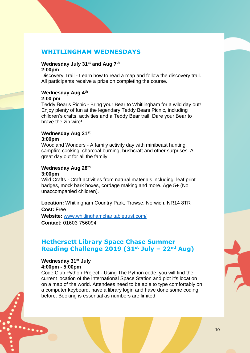## **WHITLINGHAM WEDNESDAYS**

#### **Wednesday July 31st and Aug 7th 2:00pm**

Discovery Trail - Learn how to read a map and follow the discovery trail. All participants receive a prize on completing the course.

#### **Wednesday Aug 4th**

#### **2:00 pm**

Teddy Bear's Picnic - Bring your Bear to Whitlingham for a wild day out! Enjoy plenty of fun at the legendary Teddy Bears Picnic, including children's crafts, activities and a Teddy Bear trail. Dare your Bear to brave the zip wire!

#### **Wednesday Aug 21st**

#### **3:00pm**

Woodland Wonders - A family activity day with minibeast hunting, campfire cooking, charcoal burning, bushcraft and other surprises. A great day out for all the family.

#### **Wednesday Aug 28th**

#### **3:00pm**

Wild Crafts - Craft activities from natural materials including; leaf print badges, mock bark boxes, cordage making and more. Age 5+ (No unaccompanied children).

**Location:** Whitlingham Country Park, Trowse, Norwich, NR14 8TR **Cost:** Free **Website:** [www.whitlinghamcharitabletrust.com/](http://www.whitlinghamcharitabletrust.com/)

**Contact:** 01603 756094

## **Hethersett Library Space Chase Summer Reading Challenge 2019 (31st July – 22nd Aug)**

#### **Wednesday 31st July 4:00pm - 5:00pm**

 $\ddotsc$ 

Code Club Python Project - Using The Python code, you will find the current location of the International Space Station and plot it's location on a map of the world. Attendees need to be able to type comfortably on a computer keyboard, have a library login and have done some coding before. Booking is essential as numbers are limited.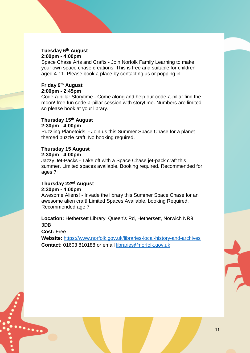#### **Tuesday 6th August 2:00pm - 4:00pm**

Space Chase Arts and Crafts - Join Norfolk Family Learning to make your own space chase creations. This is free and suitable for children aged 4-11. Please book a place by contacting us or popping in

#### **Friday 9th August 2:00pm - 2:45pm**

Code-a-pillar Storytime - Come along and help our code-a-pillar find the moon! free fun code-a-pillar session with storytime. Numbers are limited so please book at your library.

#### **Thursday 15th August 2:30pm - 4:00pm**

Puzzling Planetoids! - Join us this Summer Space Chase for a planet themed puzzle craft. No booking required.

## **Thursday 15 August**

#### **2:30pm - 4:00pm**

Jazzy Jet-Packs - Take off with a Space Chase jet-pack craft this summer. Limited spaces available. Booking required. Recommended for ages 7+

#### **Thursday 22nd August 2:30pm - 4:00pm**

Awesome Aliens! - Invade the library this Summer Space Chase for an awesome alien craft! Limited Spaces Available. booking Required. Recommended age 7+.

**Location:** Hethersett Library, Queen's Rd, Hethersett, Norwich NR9 3DB

**Cost:** Free

 $\ddotsc$ 

**Website:** <https://www.norfolk.gov.uk/libraries-local-history-and-archives> **Contact:** 01603 810188 or email [libraries@norfolk.gov.uk](mailto:libraries@norfolk.gov.uk)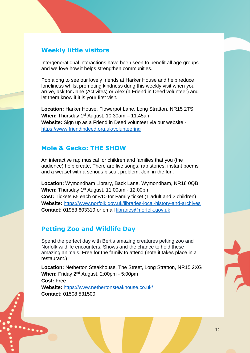## **Weekly little visitors**

Intergenerational interactions have been seen to benefit all age groups and we love how it helps strengthen communities.

Pop along to see our lovely friends at Harker House and help reduce loneliness whilst promoting kindness dung this weekly visit when you arrive, ask for Jane (Activites) or Alex (a Friend in Deed volunteer) and let them know if it is your first visit.

**Location:** Harker House, Flowerpot Lane, Long Stratton, NR15 2TS **When:** Thursday 1st August, 10:30am – 11:45am **Website:** Sign up as a Friend in Deed volunteer via our website <https://www.friendindeed.org.uk/volunteering>

### **Mole & Gecko: THE SHOW**

An interactive rap musical for children and families that you (the audience) help create. There are live songs, rap stories, instant poems and a weasel with a serious biscuit problem. Join in the fun.

**Location:** Wymondham Library, Back Lane, Wymondham, NR18 0QB **When:** Thursday 1<sup>st</sup> August, 11:00am - 12:00pm **Cost:** Tickets £5 each or £10 for Family ticket (1 adult and 2 children) **Website:** <https://www.norfolk.gov.uk/libraries-local-history-and-archives> **Contact:** 01953 603319 or email [libraries@norfolk.gov.uk](mailto:libraries@norfolk.gov.uk)

## **Petting Zoo and Wildlife Day**

 $\ddotsc$ 

Spend the perfect day with Bert's amazing creatures petting zoo and Norfolk wildlife encounters. Shows and the chance to hold these amazing animals. Free for the family to attend (note it takes place in a restaurant.)

**Location:** Netherton Steakhouse, The Street, Long Stratton, NR15 2XG When: Friday 2<sup>nd</sup> August, 2:00pm - 5:00pm **Cost:** Free **Website:** <https://www.nethertonsteakhouse.co.uk/> **Contact:** 01508 531500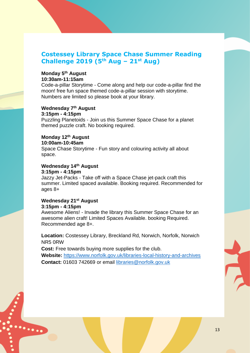## **Costessey Library Space Chase Summer Reading Challenge 2019 (5th Aug – 21st Aug)**

#### **Monday 5th August 10:30am-11:15am**

Code-a-pillar Storytime - Come along and help our code-a-pillar find the moon! free fun space themed code-a-pillar session with storytime. Numbers are limited so please book at your library.

## **Wednesday 7th August**

**3:15pm - 4:15pm** Puzzling Planetoids - Join us this Summer Space Chase for a planet themed puzzle craft. No booking required.

#### **Monday 12th August**

#### **10:00am-10:45am**

Space Chase Storytime - Fun story and colouring activity all about space.

#### **Wednesday 14th August 3:15pm - 4:15pm**

Jazzy Jet-Packs - Take off with a Space Chase jet-pack craft this summer. Limited spaced available. Booking required. Recommended for ages 8+

## **Wednesday 21st August**

#### **3:15pm - 4:15pm**

 $\ddotsc$ 

Awesome Aliens! - Invade the library this Summer Space Chase for an awesome alien craft! Limited Spaces Available. booking Required. Recommended age 8+.

**Location:** Costessey Library, Breckland Rd, Norwich, Norfolk, Norwich NR5 0RW

**Cost:** Free towards buying more supplies for the club. **Website:** <https://www.norfolk.gov.uk/libraries-local-history-and-archives> **Contact:** [01603 742669](https://www.google.co.uk/search?q=Costessey+Library&ie=&oe=) or email [libraries@norfolk.gov.uk](mailto:libraries@norfolk.gov.uk)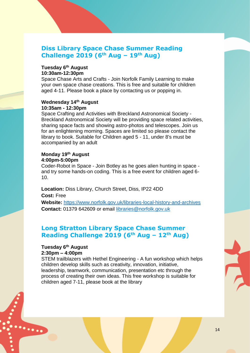## **Diss Library Space Chase Summer Reading Challenge 2019 (6th Aug – 19th Aug)**

#### **Tuesday 6th August 10:30am-12:30pm**

Space Chase Arts and Crafts - Join Norfolk Family Learning to make your own space chase creations. This is free and suitable for children aged 4-11. Please book a place by contacting us or popping in.

#### **Wednesday 14th August 10:35am - 12:30pm**

Space Crafting and Activities with Breckland Astronomical Society - Breckland Astronomical Society will be providing space related activities, sharing space facts and showing astro-photos and telescopes. Join us for an enlightening morning. Spaces are limited so please contact the library to book. Suitable for Children aged 5 - 11, under 8's must be accompanied by an adult

#### **Monday 19th August 4:00pm-5:00pm**

Coder-Robot in Space - Join Botley as he goes alien hunting in space and try some hands-on coding. This is a free event for children aged 6- 10.

#### **Location:** Diss Library, Church Street, Diss, IP22 4DD

**Cost:** Free

 $\ddotsc$ 

**Website:** <https://www.norfolk.gov.uk/libraries-local-history-and-archives> **Contact:** [01379](https://www.google.co.uk/search?q=Costessey+Library&ie=&oe=) 642609 or email [libraries@norfolk.gov.uk](mailto:libraries@norfolk.gov.uk)

## **Long Stratton Library Space Chase Summer Reading Challenge 2019 (6th Aug – 12th Aug)**

#### **Tuesday 6th August 2:30pm – 4:00pm**

STEM trailblazers with Hethel Engineering - A fun workshop which helps children develop skills such as creativity, innovation, initiative, leadership, teamwork, communication, presentation etc through the process of creating their own ideas. This free workshop is suitable for children aged 7-11, please book at the library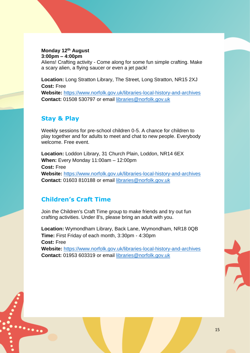#### **Monday 12th August 3:00pm – 4:00pm**

Aliens! Crafting activity - Come along for some fun simple crafting. Make a scary alien, a flying saucer or even a jet pack!

**Location:** Long Stratton Library, The Street, Long Stratton, NR15 2XJ **Cost:** Free

**Website:** <https://www.norfolk.gov.uk/libraries-local-history-and-archives> **Contact:** 01508 530797 or email [libraries@norfolk.gov.uk](mailto:libraries@norfolk.gov.uk)

## **Stay & Play**

Weekly sessions for pre-school children 0-5. A chance for children to play together and for adults to meet and chat to new people. Everybody welcome. Free event.

**Location:** Loddon Library, 31 Church Plain, Loddon, NR14 6EX **When:** Every Monday 11:00am – 12:00pm **Cost:** Free **Website:** <https://www.norfolk.gov.uk/libraries-local-history-and-archives> **Contact:** 01603 810188 or email [libraries@norfolk.gov.uk](mailto:libraries@norfolk.gov.uk)

## **Children's Craft Time**

. . . . . .

Join the Children's Craft Time group to make friends and try out fun crafting activities. Under 8's, please bring an adult with you.

**Location:** Wymondham Library, Back Lane, Wymondham, NR18 0QB **Time:** First Friday of each month, 3:30pm - 4:30pm **Cost:** Free **Website:** <https://www.norfolk.gov.uk/libraries-local-history-and-archives>

**Contact:** 01953 603319 or email [libraries@norfolk.gov.uk](mailto:libraries@norfolk.gov.uk)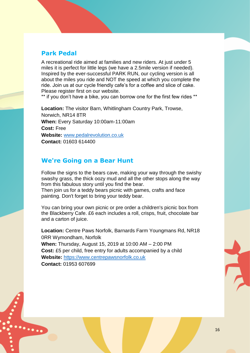## **Park Pedal**

 $\dddotsc$ 

A recreational ride aimed at families and new riders. At just under 5 miles it is perfect for little legs (we have a 2.5mile version if needed). Inspired by the ever-successful PARK RUN, our cycling version is all about the miles you ride and NOT the speed at which you complete the ride. Join us at our cycle friendly cafe's for a coffee and slice of cake. Please register first on our website.

\*\* if you don't have a bike, you can borrow one for the first few rides \*\*

**Location:** The visitor Barn, Whitlingham Country Park, Trowse, Norwich, NR14 8TR **When:** Every Saturday 10:00am-11:00am **Cost:** Free **Website:** [www.pedalrevolution.co.uk](http://www.pedalrevolution.co.uk/) **Contact:** 01603 614400

## **We're Going on a Bear Hunt**

Follow the signs to the bears cave, making your way through the swishy swashy grass, the thick oozy mud and all the other stops along the way from this fabulous story until you find the bear.

Then join us for a teddy bears picnic with games, crafts and face painting. Don't forget to bring your teddy bear.

You can bring your own picnic or pre order a children's picnic box from the Blackberry Cafe. £6 each includes a roll, crisps, fruit, chocolate bar and a carton of juice.

**Location:** [Centre Paws Norfolk,](https://www.facebook.com/centrepawsnorfolk/?eid=ARCvOXyFMoUPOq-TZ5kpeRXMrnXaFIQ2YYdQTeSw7kYHNGM3VlwfHNuAtSgWHbV_UvvHHrm4b7_CSNlw) Barnards Farm Youngmans Rd, NR18 0RR Wymondham, Norfolk **When:** Thursday, August 15, 2019 at 10:00 AM – 2:00 PM **Cost:** £5 per child, free entry for adults accompanied by a child **Website:** [https://www.centrepawsnorfolk.co.uk](https://www.centrepawsnorfolk.co.uk/) **Contact:** 01953 607699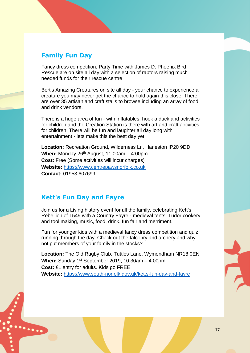## **Family Fun Day**

Fancy dress competition, Party Time with James D. Phoenix Bird Rescue are on site all day with a selection of raptors raising much needed funds for their rescue centre

Bert's Amazing Creatures on site all day - your chance to experience a creature you may never get the chance to hold again this close! There are over 35 artisan and craft stalls to browse including an array of food and drink vendors.

There is a huge area of fun - with inflatables, hook a duck and activities for children and the Creation Station is there with art and craft activities for children. There will be fun and laughter all day long with entertainment - lets make this the best day yet!

**Location:** Recreation Ground, Wilderness Ln, Harleston IP20 9DD **When:** Monday 26th August, 11:00am – 4:00pm **Cost:** Free (Some activities will incur charges) **Website:** [https://www.centrepawsnorfolk.co.uk](https://www.centrepawsnorfolk.co.uk/) **Contact:** 01953 607699

## **Kett's Fun Day and Fayre**

 $\ddotsc$ 

Join us for a Living history event for all the family, celebrating Kett's Rebellion of 1549 with a Country Fayre - medieval tents, Tudor cookery and tool making, music, food, drink, fun fair and merriment.

Fun for younger kids with a medieval fancy dress competition and quiz running through the day. Check out the falconry and archery and why not put members of your family in the stocks?

**Location:** The Old Rugby Club, Tuttles Lane, Wymondham NR18 0EN **When:** Sunday 1st September 2019, 10:30am – 4:00pm **Cost:** £1 entry for adults. Kids go FREE **Website:** <https://www.south-norfolk.gov.uk/ketts-fun-day-and-fayre>

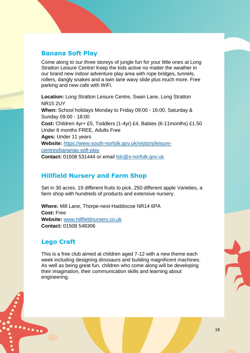## **Banana Soft Play**

Come along to our three storeys of jungle fun for your little ones at Long Stratton Leisure Centre! Keep the kids active no matter the weather in our brand new indoor adventure play area with rope bridges, tunnels, rollers, dangly snakes and a twin lane wavy slide plus much more. Free parking and new cafe with WiFi.

**Location:** Long Stratton Leisure Centre, Swan Lane, Long Stratton NR15 2UY **When:** School holidays Monday to Friday 09:00 - 16:00, Saturday & Sunday 09:00 - 18:00 **Cost:** Children 4yr+ £5, Toddlers (1-4yr) £4, Babies (6-11months) £1.50 Under 6 months FREE, Adults Free **Ages:** Under 11 years **Website:** [https://www.south-norfolk.gov.uk/visitors/leisure](https://www.south-norfolk.gov.uk/visitors/leisure-centres/bananas-soft-play)[centres/bananas-soft-play](https://www.south-norfolk.gov.uk/visitors/leisure-centres/bananas-soft-play) **Contact:** 01508 531444 or email [lslc@s-norfolk.gov.uk](mailto:lslc@s-norfolk.gov.uk)

## **Hillfield Nursery and Farm Shop**

Set in 30 acres. 19 different fruits to pick, 250 different apple Varieties, a farm shop with hundreds of products and extensive nursery.

**Where:** Mill Lane, Thorpe-next-Haddiscoe NR14 6PA **Cost:** Free **Website:** [www.hillfieldnursery.co.uk](http://www.hillfieldnursery.co.uk/) **Contact:** 01508 548306

## **Lego Craft**

 $\mathbf{L}_{\mathbf{C} \mathbf{C} \mathbf{C} \mathbf{C}}$ 

This is a free club aimed at children aged 7-12 with a new theme each week including designing dinosaurs and building magnificent machines. As well as being great fun, children who come along will be developing their imagination, their communication skills and learning about engineering.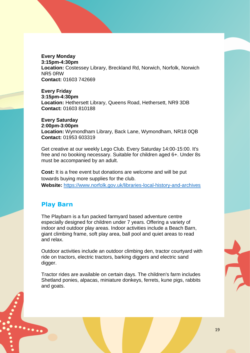**Every Monday 3:15pm-4:30pm Location:** Costessey Library, Breckland Rd, Norwich, Norfolk, Norwich NR5 0RW **Contact:** [01603 742669](https://www.google.co.uk/search?q=Costessey+Library&ie=&oe=)

**Every Friday 3:15pm-4:30pm Location:** Hethersett Library, Queens Road, Hethersett, NR9 3DB **Contact:** 01603 810188

**Every Saturday 2:00pm-3:00pm Location:** Wymondham Library, Back Lane, Wymondham, NR18 0QB **Contact:** 01953 603319

Get creative at our weekly Lego Club. Every Saturday 14:00-15:00. It's free and no booking necessary. Suitable for children aged 6+. Under 8s must be accompanied by an adult.

**Cost:** It is a free event but donations are welcome and will be put towards buying more supplies for the club. **Website:** <https://www.norfolk.gov.uk/libraries-local-history-and-archives>

## **Play Barn**

 $\ddotsc$ 

The Playbarn is a fun packed farmyard based adventure centre especially designed for children under 7 years. Offering a variety of indoor and outdoor play areas. Indoor activities include a Beach Barn, giant climbing frame, soft play area, ball pool and quiet areas to read and relax.

Outdoor activities include an outdoor climbing den, tractor courtyard with ride on tractors, electric tractors, barking diggers and electric sand digger.

Tractor rides are available on certain days. The children's farm includes Shetland ponies, alpacas, miniature donkeys, ferrets, kune pigs, rabbits and goats.